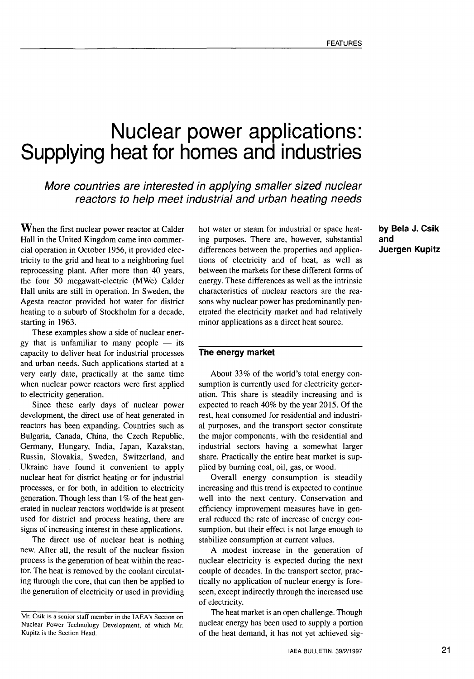# Nuclear power applications: Supplying heat for homes and industries

More countries are interested in applying smaller sized nuclear reactors to help meet industrial and urban heating needs

When the first nuclear power reactor at Calder Hall in the United Kingdom came into commercial operation in October 1956, it provided electricity to the grid and heat to a neighboring fuel reprocessing plant. After more than 40 years, the four 50 megawatt-electric (MWe) Calder Hall units are still in operation. In Sweden, the Agesta reactor provided hot water for district heating to a suburb of Stockholm for a decade, starting in 1963.

These examples show a side of nuclear energy that is unfamiliar to many people  $-$  its capacity to deliver heat for industrial processes and urban needs. Such applications started at a very early date, practically at the same time when nuclear power reactors were first applied to electricity generation.

Since these early days of nuclear power development, the direct use of heat generated in reactors has been expanding. Countries such as Bulgaria, Canada, China, the Czech Republic, Germany, Hungary, India, Japan, Kazakstan, Russia, Slovakia, Sweden, Switzerland, and Ukraine have found it convenient to apply nuclear heat for district heating or for industrial processes, or for both, in addition to electricity generation. Though less than  $1\%$  of the heat generated in nuclear reactors worldwide is at present used for district and process heating, there are signs of increasing interest in these applications.

The direct use of nuclear heat is nothing new. After all, the result of the nuclear fission process is the generation of heat within the reactor. The heat is removed by the coolant circulating through the core, that can then be applied to the generation of electricity or used in providing

hot water or steam for industrial or space heating purposes. There are, however, substantial differences between the properties and applications of electricity and of heat, as well as between the markets for these different forms of energy. These differences as well as the intrinsic characteristics of nuclear reactors are the reasons why nuclear power has predominantly penetrated the electricity market and had relatively minor applications as a direct heat source.

## **The energy market**

About 33% of the world's total energy consumption is currently used for electricity generation. This share is steadily increasing and is expected to reach 40% by the year 2015. Of the rest, heat consumed for residential and industrial purposes, and the transport sector constitute the major components, with the residential and industrial sectors having a somewhat larger share. Practically the entire heat market is supplied by burning coal, oil, gas, or wood.

Overall energy consumption is steadily increasing and this trend is expected to continue well into the next century. Conservation and efficiency improvement measures have in general reduced the rate of increase of energy consumption, but their effect is not large enough to stabilize consumption at current values.

A modest increase in the generation of nuclear electricity is expected during the next couple of decades. In the transport sector, practically no application of nuclear energy is foreseen, except indirectly through the increased use of electricity.

The heat market is an open challenge. Though nuclear energy has been used to supply a portion of the heat demand, it has not yet achieved sig**by Bela J. Csik and Juergen Kupitz**

Mr. Csik is a senior staff member in the IAEA's Section on Nuclear Power Technology Development, of which Mr. Kupitz is the Section Head.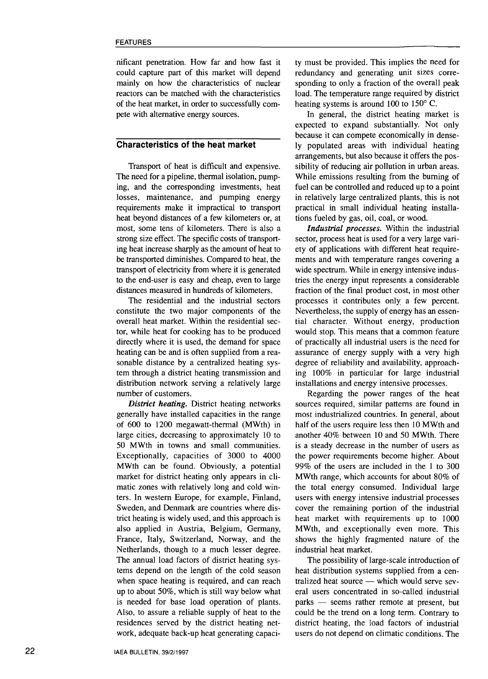nificant penetration . Ho w far an d ho w fas t i t coul d captur e part o f thi s marke t wil l depen d mainl y o n ho w th e characteristic s o f nuclear reactor s can b e matche d with th e characteristic s of the heat market, in order to successfully compet e with alternativ e energ y sources .

#### **Characteristic s of th e hea t marke t**

Transport o f heat i s difficult an d expensive . Th e nee d for a pipeline , therma l isolation , pump ing , an d th e correspondin g investments , heat losses, maintenance, and pumping energy requirement s mak e i t impractica l t o transport heat beyon d distance s o f a few kilometer s or , at most , som e ten s o f kilometers . Ther e i s als o a strong size effect. The specific costs of transporting heat increase sharply as the amount of heat to be transported diminishes. Compared to heat, the transport of electricity from where it is generated to the end-user is easy and cheap, even to large distances measured in hundreds of kilometers.

Th e residentia l an d th e industria l sector s constitute the two major components of the overall heat market. Within the residential sector, while heat for cooking has to be produced directly where it is used, the demand for space heating can be and is often supplied from a reasonable distance by a centralized heating syste m throug h a distric t heatin g transmissio n an d distribution network serving a relatively large numbe r o f customers .

District heating. District heating networks generall y hav e installe d capacitie s i n th e rang e o f 60 0 t o 120 0 megawatt-therma l (MWth ) i n large cities, decreasing to approximately 10 to 5 0 MWth i n town s an d smal l communities . Exceptionally, capacities of 3000 to 4000 MWth can b e found . Obviously , a potentia l market for district heating only appears in climatic zones with relatively long and cold winters . I n wester n Europe , for example , Finland , Sweden , an d Denmark ar e countrie s wher e dis trict heating is widely used, and this approach is als o applie d i n Austria , Belgium , Germany , France Italy Switzerland Norway and the Netherlands , thoug h t o a muc h lesse r degree . The annual load factors of district heating system s depen d o n th e length o f th e col d seaso n when space heating is required and can reach  $\frac{1}{2}$  and  $\frac{1}{2}$  which is still way below what i s neede d fo r bas e loa d operatio n o f plants . Also, to assure a reliable supply of heat to the residences served by the district besting net work adequate heek up heat generating general ty must be provided. This implies the need for redundancy and generating unit sizes corresponding to only a fraction of the overall peak load. The temperature range required by district heating systems is around 100 to 150 $^{\circ}$  C.

In general, the district heating market is expected to expand substantially. Not only because it can compete economically in densel y populate d area s wit h individua l heatin g arrangements , bu t als o becaus e i t offer s th e pos sibility of reducing air pollution in urban areas. While emissions resulting from the burning of fuel can be controlled and reduced up to a point in relatively large centralized plants, this is not practica l i n smal l individua l heatin g installa tion s fuele d b y gas , oil , coal , o r wood .

Industrial processes. Within the industrial sector, process heat is used for a very large variety of applications with different heat requirement s an d with temperatur e range s coverin g a wide spectrum. While in energy intensive industries the energy input represents a considerable fraction of the final product cost, in most other processes it contributes only a few percent. Nevertheless, the supply of energy has an essentia l character . Withou t energy , productio n would stop. This means that a common feature o f practicall y al l industria l user s i s th e nee d fo r assurance of energy supply with a very high degree of reliability and availability, approachin g 100 % i n particula r fo r larg e industria l installation s an d energ y intensiv e processes .

Regarding the power ranges of the heat sources required, similar patterns are found in mos t industrialize d countries . I n general , abou t half of the users require less then 10 MWth and another 40% between 10 and 50 MWth. There is a steady decrease in the number of users as th e powe r requirement s becom e higher . Abou t 99 % o f th e user s ar e include d i n th e 1 t o 30 0 MWth range, which accounts for about 80% of the total energy consumed. Individual large user s with energ y intensiv e industria l processe s cove r th e remainin g portio n o f th e industria l heat market with requirements un to 1000 MWth and exceptionally even more This shows the highly fragmented nature of the industria l heat market .

Th e possibilit y o f large-scal e introductio n o f hea t distributio n system s supplie d fro m a cen tralized heat source — which would serve severa l user s concentrate d i n so-calle d industria l park s — seem s rathe r remot e at present , bu t coul d b e th e tren d o n a lon g term . Contrar y t o district heating, the load factors of industrial users do not depend on climatic conditions. The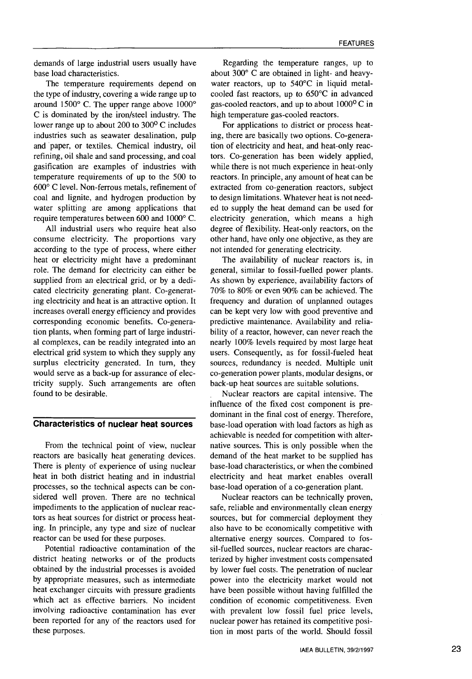demands of large industrial users usually have base load characteristics.

The temperature requirements depend on the type of industry, covering a wide range up to around 1500° C. The upper range above 1000° C is dominated by the iron/steel industry. The lower range up to about 200 to 300° C includes industries such as seawater desalination, pulp and paper, or textiles. Chemical industry, oil refining, oil shale and sand processing, and coal gasification are examples of industries with temperature requirements of up to the 500 to 600° C level. Non-ferrous metals, refinement of coal and lignite, and hydrogen production by water splitting are among applications that require temperatures between 600 and 1000° C.

All industrial users who require heat also consume electricity. The proportions vary according to the type of process, where either heat or electricity might have a predominant role. The demand for electricity can either be supplied from an electrical grid, or by a dedicated electricity generating plant. Co-generating electricity and heat is an attractive option. It increases overall energy efficiency and provides corresponding economic benefits. Co-generation plants, when forming part of large industrial complexes, can be readily integrated into an electrical grid system to which they supply any surplus electricity generated. In turn, they would serve as a back-up for assurance of electricity supply. Such arrangements are often found to be desirable.

#### **Characteristics of nuclear heat sources**

From the technical point of view, nuclear reactors are basically heat generating devices. There is plenty of experience of using nuclear heat in both district heating and in industrial processes, so the technical aspects can be considered well proven. There are no technical impediments to the application of nuclear reactors as heat sources for district or process heating. In principle, any type and size of nuclear reactor can be used for these purposes.

Potential radioactive contamination of the district heating networks or of the products obtained by the industrial processes is avoided by appropriate measures, such as intermediate heat exchanger circuits with pressure gradients which act as effective barriers. No incident involving radioactive contamination has ever been reported for any of the reactors used for these purposes.

Regarding the temperature ranges, up to about 300° C are obtained in light- and heavywater reactors, up to 540°C in liquid metalcooled fast reactors, up to 650°C in advanced gas-cooled reactors, and up to about 1000° C in high temperature gas-cooled reactors.

For applications to district or process heating, there are basically two options. Co-generation of electricity and heat, and heat-only reactors. Co-generation has been widely applied, while there is not much experience in heat-only reactors. In principle, any amount of heat can be extracted from co-generation reactors, subject to design limitations. Whatever heat is not needed to supply the heat demand can be used for electricity generation, which means a high degree of flexibility. Heat-only reactors, on the other hand, have only one objective, as they are not intended for generating electricity.

The availability of nuclear reactors is, in general, similar to fossil-fuelled power plants. As shown by experience, availability factors of 70% to 80% or even 90% can be achieved. The frequency and duration of unplanned outages can be kept very low with good preventive and predictive maintenance. Availability and reliability of a reactor, however, can never reach the nearly 100% levels required by most large heat users. Consequently, as for fossil-fueled heat sources, redundancy is needed. Multiple unit co-generation power plants, modular designs, or back-up heat sources are suitable solutions.

Nuclear reactors are capital intensive. The influence of the fixed cost component is predominant in the final cost of energy. Therefore, base-load operation with load factors as high as achievable is needed for competition with alternative sources. This is only possible when the demand of the heat market to be supplied has base-load characteristics, or when the combined electricity and heat market enables overall base-load operation of a co-generation plant.

Nuclear reactors can be technically proven, safe, reliable and environmentally clean energy sources, but for commercial deployment they also have to be economically competitive with alternative energy sources. Compared to fossil-fuelled sources, nuclear reactors are characterized by higher investment costs compensated by lower fuel costs. The penetration of nuclear power into the electricity market would not have been possible without having fulfilled the condition of economic competitiveness. Even with prevalent low fossil fuel price levels, nuclear power has retained its competitive position in most parts of the world. Should fossil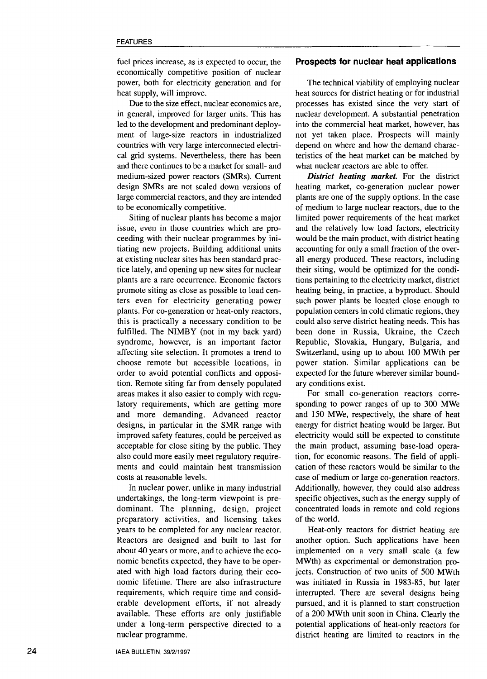fuel prices increase, as is expected to occur, the economically competitive position of nuclear power, both for electricity generation and for heat supply, will improve.

Due to the size effect, nuclear economics are, in general, improved for larger units. This has led to the development and predominant deployment of large-size reactors in industrialized countries with very large interconnected electrical grid systems. Nevertheless, there has been and there continues to be a market for small- and medium-sized power reactors (SMRs). Current design SMRs are not scaled down versions of large commercial reactors, and they are intended to be economically competitive.

Siting of nuclear plants has become a major issue, even in those countries which are proceeding with their nuclear programmes by initiating new projects. Building additional units at existing nuclear sites has been standard practice lately, and opening up new sites for nuclear plants are a rare occurrence. Economic factors promote siting as close as possible to load centers even for electricity generating power plants. For co-generation or heat-only reactors, this is practically a necessary condition to be fulfilled. The NIMBY (not in my back yard) syndrome, however, is an important factor affecting site selection. It promotes a trend to choose remote but accessible locations, in order to avoid potential conflicts and opposition. Remote siting far from densely populated areas makes it also easier to comply with regur latory requirements, which are getting more and more demanding. Advanced reactor designs, in particular in the SMR range with improved safety features, could be perceived as acceptable for close siting by the public. They also could more easily meet regulatory requirements and could maintain heat transmission costs at reasonable levels.

In nuclear power, unlike in many industrial undertakings, the long-term viewpoint is predominant. The planning, design, project preparatory activities, and licensing takes years to be completed for any nuclear reactor. Reactors are designed and built to last for about 40 years or more, and to achieve the economic benefits expected, they have to be operated with high load factors during their economic lifetime. There are also infrastructure requirements, which require time and considerable development efforts, if not already available. These efforts are only justifiable under a long-term perspective directed to a nuclear programme.

### **Prospects for nuclear heat applications**

The technical viability of employing nuclear heat sources for district heating or for industrial processes has existed since the very start of nuclear development. A substantial penetration into the commercial heat market, however, has not yet taken place. Prospects will mainly depend on where and how the demand characteristics of the heat market can be matched by what nuclear reactors are able to offer.

*District heating market.* For the district heating market, co-generation nuclear power plants are one of the supply options. In the case of medium to large nuclear reactors, due to the limited power requirements of the heat market and the relatively low load factors, electricitywould be the main product, with district heating accounting for only a small fraction of the overall energy produced. These reactors, including their siting, would be optimized for the conditions pertaining to the electricity market, district heating being, in practice, a byproduct. Should such power plants be located close enough to population centers in cold climatic regions, they could also serve district heating needs. This has been done in Russia, Ukraine, the Czech Republic, Slovakia, Hungary, Bulgaria, and Switzerland, using up to about 100 MWth per power station. Similar applications can be expected for the future wherever similar boundary conditions exist.

For small co-generation reactors corresponding to power ranges of up to 300 MWe and 150 MWe, respectively, the share of heat energy for district heating would be larger. But electricity would still be expected to constitute the main product, assuming base-load operation, for economic reasons. The field of application of these reactors would be similar to the case of medium or large co-generation reactors. Additionally, however, they could also address specific objectives, such as the energy supply of concentrated loads in remote and cold regions of the world.

Heat-only reactors for district heating are another option. Such applications have been implemented on a very small scale (a few MWth) as experimental or demonstration projects. Construction of two units of 500 MWth was initiated in Russia in 1983-85, but later interrupted. There are several designs being pursued, and it is planned to start construction of a 200 MWth unit soon in China. Clearly the potential applications of heat-only reactors for district heating are limited to reactors in the